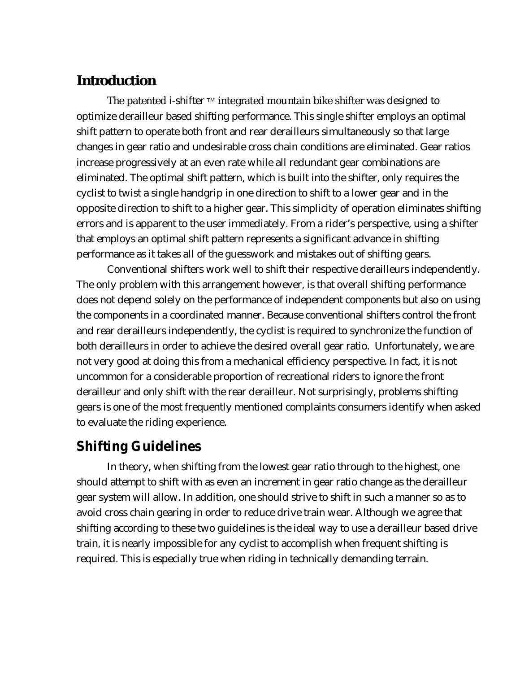#### **Introd uction**

The patented i-shifter  $TM$  integrated m ountain bike shifter was designed to optimize derailleur based shifting performance. This single shifter employs an optimal shift pattern to operate both front and rear derailleurs simultaneously so that large changes in gear ratio and undesirable cross chain conditions are eliminated. Gear ratios increase progressively at an even rate while all redundant gear combinations are eliminated. The optimal shift pattern, which is built into the shifter, only requires the cyclist to twist a single handgrip in one direction to shift to a lower gear and in the opposite direction to shift to a higher gear. This simplicity of operation eliminates shifting errors and is apparent to the user immediately. From a rider's perspective, using a shifter that employs an optimal shift pattern represents a significant advance in shifting performance as it takes all of the guesswork and mistakes out of shifting gears.

Conventional shifters work well to shift their respective derailleurs independently. The only problem with this arrangement however, is that overall shifting performance does not depend solely on the performance of independent components but also on using the components in a coordinated manner. Because conventional shifters control the front and rear derailleurs independently, the cyclist is required to synchronize the function of both derailleurs in order to achieve the desired overall gear ratio. Unfortunately, we are not very good at doing this from a mechanical efficiency perspective. In fact, it is not uncommon for a considerable proportion of recreational riders to ignore the front derailleur and only shift with the rear derailleur. Not surprisingly, problems shifting gears is one of the most frequently mentioned complaints consumers identify when asked to evaluate the riding experience.

#### **Shifting Guidelines**

In theory, when shifting from the lowest gear ratio through to the highest, one should attempt to shift with as even an increment in gear ratio change as the derailleur gear system will allow. In addition, one should strive to shift in such a manner so as to avoid cross chain gearing in order to reduce drive train wear. Although we agree that shifting according to these two guidelines is the ideal way to use a derailleur based drive train, it is nearly impossible for any cyclist to accomplish when frequent shifting is required. This is especially true when riding in technically demanding terrain.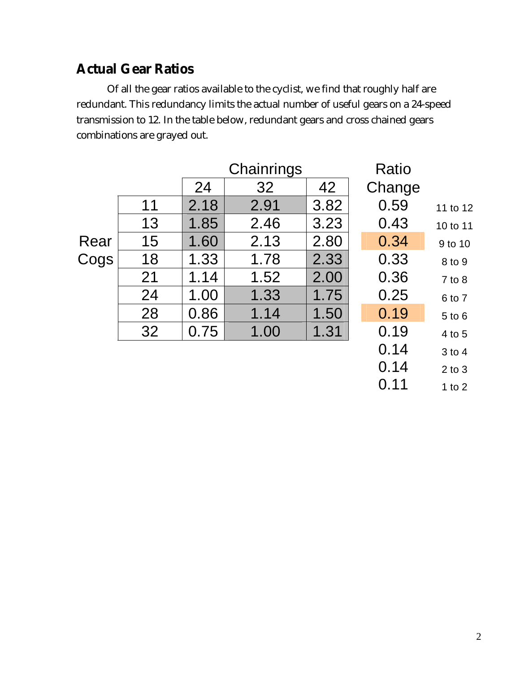# **Actual Gear Ratios**

Of all the gear ratios available to the cyclist, we find that roughly half are redundant. This redundancy limits the actual number of useful gears on a 24-speed transmission to 12. In the table below, redundant gears and cross chained gears combinations are grayed out.

|              |    |      | Chainrings |      | Ratio  |            |
|--------------|----|------|------------|------|--------|------------|
|              |    | 24   | 32         | 42   | Change |            |
|              | 11 | 2.18 | 2.91       | 3.82 | 0.59   | 11 to 12   |
|              | 13 | 1.85 | 2.46       | 3.23 | 0.43   | 10 to 11   |
| Rear<br>Cogs | 15 | 1.60 | 2.13       | 2.80 | 0.34   | 9 to 10    |
|              | 18 | 1.33 | 1.78       | 2.33 | 0.33   | 8 to 9     |
|              | 21 | 1.14 | 1.52       | 2.00 | 0.36   | $7$ to $8$ |
|              | 24 | 1.00 | 1.33       | 1.75 | 0.25   | 6 to 7     |
|              | 28 | 0.86 | 1.14       | 1.50 | 0.19   | 5 to 6     |
|              | 32 | 0.75 | 1.00       | 1.31 | 0.19   | 4 to 5     |
|              |    |      |            |      | 0.14   | 3 to 4     |
|              |    |      |            |      | 0.14   | $2$ to $3$ |
|              |    |      |            |      | 0.11   | 1 to $2$   |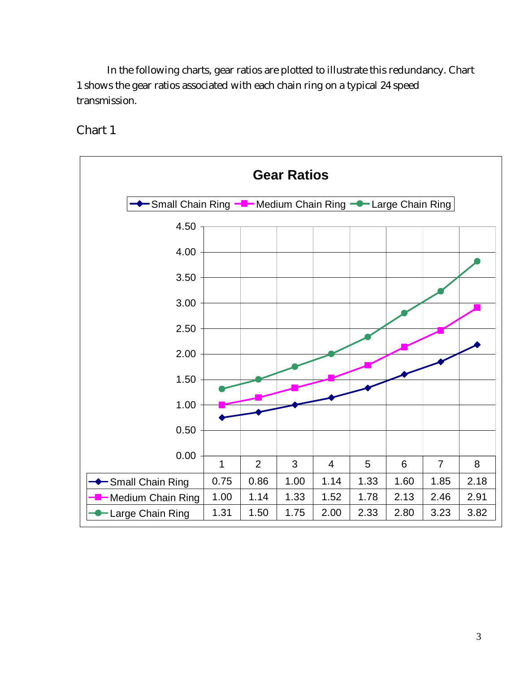In the following charts, gear ratios are plotted to illustrate this redundancy. Chart 1 shows the gear ratios associated with each chain ring on a typical 24 speed transmission.



Chart 1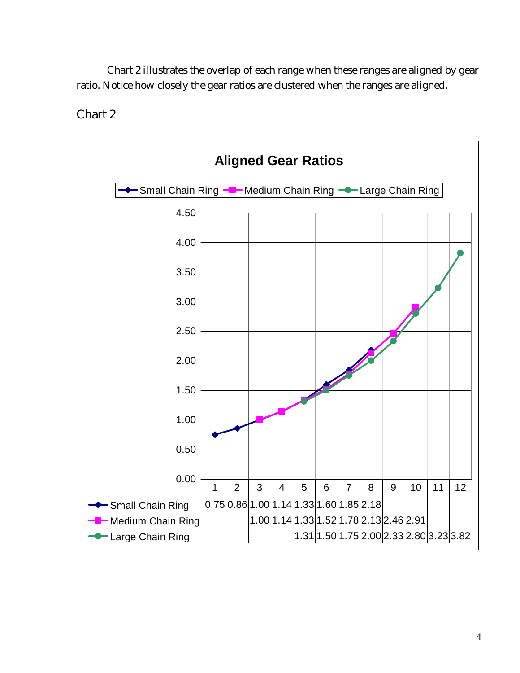Chart 2 illustrates the overlap of each range when these ranges are aligned by gear ratio. Notice how closely the gear ratios are clustered when the ranges are aligned.



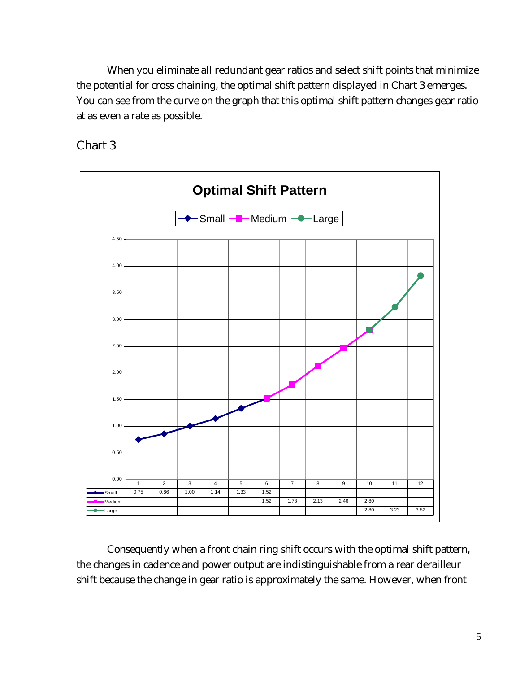When you eliminate all redundant gear ratios and select shift points that minimize the potential for cross chaining, the optimal shift pattern displayed in Chart 3 emerges. You can see from the curve on the graph that this optimal shift pattern changes gear ratio at as even a rate as possible.





Consequently when a front chain ring shift occurs with the optimal shift pattern, the changes in cadence and power output are indistinguishable from a rear derailleur shift because the change in gear ratio is approximately the same. However, when front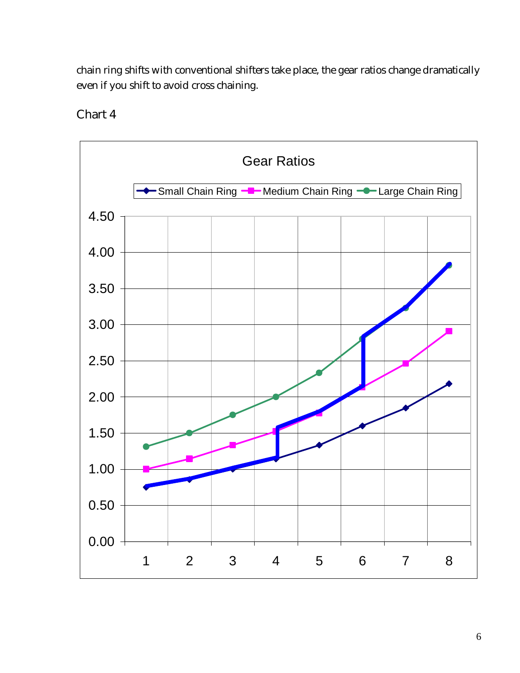chain ring shifts with conventional shifters take place, the gear ratios change dramatically even if you shift to avoid cross chaining.



Chart 4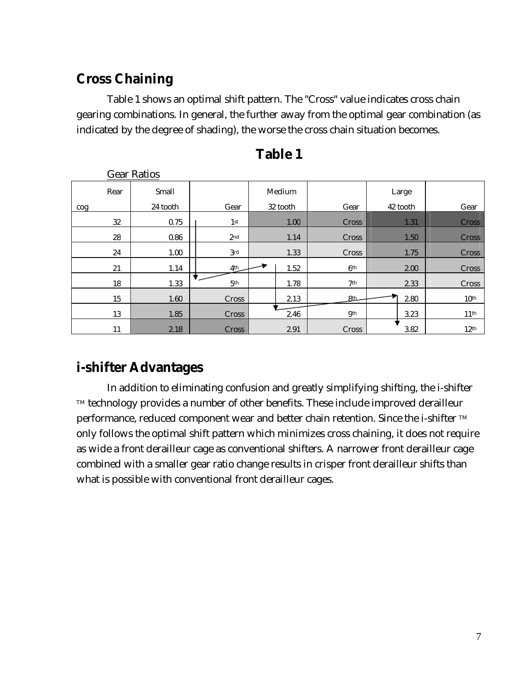# **Cross Chaining**

Table 1 shows an optimal shift pattern. The "Cross" value indicates cross chain gearing combinations. In general, the further away from the optimal gear combination (as indicated by the degree of shading), the worse the cross chain situation becomes.

|      | <b>Gear Ratios</b> |                 |          |                 |          |                  |
|------|--------------------|-----------------|----------|-----------------|----------|------------------|
| Rear | Small              |                 | Medium   |                 | Large    |                  |
| cog  | 24 tooth           | Gear            | 32 tooth | Gear            | 42 tooth | Gear             |
| 32   | 0.75               | 1 <sup>st</sup> | 1.00     | Cross           | 1.31     | <b>Cross</b>     |
| 28   | 0.86               | 2 <sub>nd</sub> | 1.14     | Cross           | 1.50     | <b>Cross</b>     |
| 24   | 1.00               | 3rd             | 1.33     | Cross           | 1.75     | Cross            |
| 21   | 1.14               | 4 <sup>th</sup> | 1.52     | 6 <sup>th</sup> | 2.00     | Cross            |
| 18   | 1.33               | 5 <sup>th</sup> | 1.78     | 7th             | 2.33     | Cross            |
| 15   | 1.60               | Cross           | 2.13     | <b>8th</b>      | 2.80     | $10^{\rm th}$    |
| 13   | 1.85               | Cross           | 2.46     | <b>9th</b>      | 3.23     | 11 <sup>th</sup> |
| 11   | 2.18               | Cross           | 2.91     | Cross           | 3.82     | 12 <sup>th</sup> |

| Table |  |
|-------|--|
|-------|--|

# **i-shifter Advantages**

In addition to eliminating confusion and greatly simplifying shifting, the i-shifter TM technology provides a number of other benefits. These include improved derailleur performance, reduced component wear and better chain retention. Since the i-shifter TM only follows the optimal shift pattern which minimizes cross chaining, it does not require as wide a front derailleur cage as conventional shifters. A narrower front derailleur cage combined with a smaller gear ratio change results in crisper front derailleur shifts than what is possible with conventional front derailleur cages.